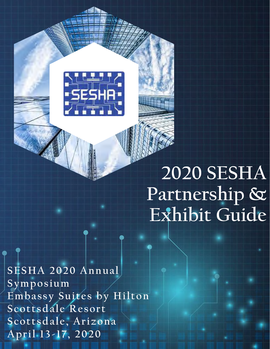

# **2020 SESHA Partnership & Exhibit Guide**

**SESHA 2020 Annual Symposium Embassy Suites by Hilton Scottsdale Resort Scottsdale, Arizona April 13-17, 2020**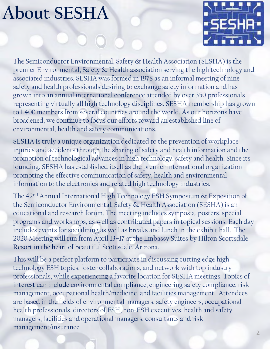### **About SESHA**



The Semiconductor Environmental, Safety & Health Association (SESHA) is the premier Environmental, Safety & Health association serving the high technology and associated industries. SESHA was formed in 1978 as an informal meeting of nine safety and health professionals desiring to exchange safety information and has grown into an annual international conference attended by over 350 professionals representing virtually all high technology disciplines. SESHA membership has grown to 1,400 members from several countries around the world. As our horizons have broadened, we continue to focus our efforts toward an established line of environmental, health and safety communications.

SESHA is truly a unique organization dedicated to the prevention of workplace injuries and accidents through the sharing of safety and health information and the promotion of technological advances in high technology, safety and health. Since its founding, SESHA has established itself as the premier international organization promoting the effective communication of safety, health and environmental information to the electronics and related high technology industries.

The 42nd Annual International High Technology ESH Symposium & Exposition of the Semiconductor Environmental, Safety & Health Association (SESHA) is an educational and research forum. The meeting includes symposia, posters, special programs and workshops, as well as contributed papers in topical sessions. Each day includes events for socializing as well as breaks and lunch in the exhibit hall. The 2020 Meeting will run from April 13–17 at the Embassy Suites by Hilton Scottsdale Resort in the heart of beautiful Scottsdale, Arizona.

This will be a perfect platform to participate in discussing cutting edge high technology ESH topics, foster collaborations, and network with top industry professionals, while experiencing a favorite location for SESHA meetings. Topics of interest can include environmental compliance, engineering safety compliance, risk management, occupational health/medicine, and facilities management. Attendees are based in the fields of environmental managers, safety engineers, occupational health professionals, directors of ESH, non-ESH executives, health and safety managers, facilities and operational managers, consultants and risk management/insurance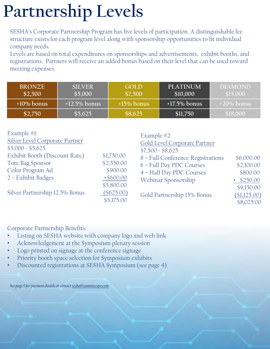# **Partnership Levels**

SESHA's Corporate Partnership Program has five levels of participation. A distinguishable fee structure exists for each program level along with sponsorship opportunities to fit individual company needs.

Levels are based on total expenditures on sponsorships and advertisements, exhibit booths, and registrations. Partners will receive an added bonus based on their level that can be used toward meeting expenses.

| <b>BRONZE</b><br>\$2,500 | <b>SILVER</b><br>\$5,000 | <b>GOLD</b><br>\$7,500 | <b>PLATINUM</b><br>\$10,000 | <b>DIAMOND</b><br>\$15,000 |
|--------------------------|--------------------------|------------------------|-----------------------------|----------------------------|
| $+10\%$ bonus            | $+12.5\%$ bonus          | $+15\%$ bonus          | $+17.5\%$ bonus             | $+20\%$ bonus              |
| \$2,750                  | \$5,625                  | \$8,625                | \$11,750                    | \$18,000                   |

| Example $#1$ :                        |              | Example $\#2$ :                   |              |
|---------------------------------------|--------------|-----------------------------------|--------------|
| <b>Silver Level Corporate Partner</b> |              | Gold Level Corporate Partner      |              |
| $$5,000 = $5,625$                     |              | $$7,500 = $8,625$                 |              |
| Exhibit Booth (Discount Rate)         | \$1,750.00   | 8 - Full Conference Registrations | \$6,000.00   |
| Tote Bag Sponsor                      | \$2,550.00   | 6 - Full Day PDC Courses          | \$2,100.00   |
| Color Program Ad                      | \$900.00     | 4 - Half Day PDC Courses          | \$800.00     |
| 2 - Exhibit Badges                    | $+$ \$600.00 | Webinar Sponsorship               | $+$ \$250.00 |
|                                       | \$5,800.00   |                                   | \$9,150.00   |
| Silver Partnership 12.5% Bonus        | $(\$625.00)$ | Gold Partnership 15% Bonus        | (\$1,125.00) |
|                                       | \$5,175.00   |                                   | \$8,025.00   |

Corporate Partnership Benefits:

- Listing on SESHA website with company logo and web link
- Acknowledgement at the Symposium plenary session
- Logo printed on signage at the conference signage
- Priority booth space selection for Symposium exhibits
- Discounted registrations at SESHA Symposium (see page 4)

*See page 9 for payment details or contact [sesha@summitexpo.com](mailto:sesha@summitexpo.com)*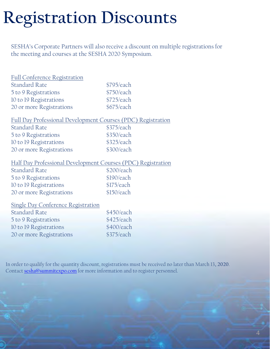## **Registration Discounts**

SESHA's Corporate Partners will also receive a discount on multiple registrations for the meeting and courses at the SESHA 2020 Symposium.

| Full Conference Registration                                 |            |
|--------------------------------------------------------------|------------|
| <b>Standard Rate</b>                                         | \$795/each |
| 5 to 9 Registrations                                         | \$750/each |
| 10 to 19 Registrations                                       | \$725/each |
| 20 or more Registrations                                     | \$675/each |
| Full Day Professional Development Courses (PDC) Registration |            |
| <b>Standard Rate</b>                                         | \$375/each |
| 5 to 9 Registrations                                         | \$350/each |
| 10 to 19 Registrations                                       | \$325/each |
| 20 or more Registrations                                     | \$300/each |
| Half Day Professional Development Courses (PDC) Registration |            |
| <b>Standard Rate</b>                                         | \$200/each |
| 5 to 9 Registrations                                         | \$190/each |
| 10 to 19 Registrations                                       | \$175/each |
| 20 or more Registrations                                     | \$150/each |
| <b>Single Day Conference Registration</b>                    |            |
| <b>Standard Rate</b>                                         | \$450/each |
| 5 to 9 Registrations                                         | \$425/each |
| 10 to 19 Registrations                                       | \$400/each |
| 20 or more Registrations                                     | \$375/each |
|                                                              |            |

In order to qualify for the quantity discount, registrations must be received no later than March 13**, 2020**. Contact [sesha@summitexpo.com](mailto:sesha@summitexpo.com) for more information and to register personnel.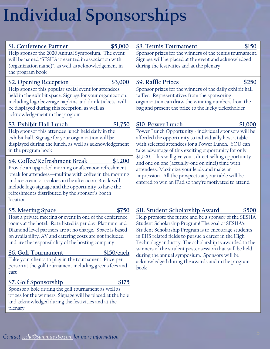# **Individual Sponsorships**

| Sl. Conference Partner<br>\$5,000<br>Help sponsor the 2020 Annual Symposium. The event<br>will be named "SESHA presented in association with<br>(organization name)", as well as acknowledgement in<br>the program book                                                                                                                   | <b>S8. Tennis Tournament</b><br>\$150<br>Sponsor prizes for the winners of the tennis tournament.<br>Signage will be placed at the event and acknowledged<br>during the festivities and at the plenary                                                                                                                                |  |
|-------------------------------------------------------------------------------------------------------------------------------------------------------------------------------------------------------------------------------------------------------------------------------------------------------------------------------------------|---------------------------------------------------------------------------------------------------------------------------------------------------------------------------------------------------------------------------------------------------------------------------------------------------------------------------------------|--|
| \$3,000<br><b>S2. Opening Reception</b><br>Help sponsor this popular social event for attendees<br>held in the exhibit space. Signage for your organization,<br>including logo beverage napkins and drink tickets, will<br>be displayed during this reception, as well as<br>acknowledgement in the program                               | <b>S9. Raffle Prizes</b><br>\$250<br>Sponsor prizes for the winners of the daily exhibit hall<br>raffles. Representatives from the sponsoring<br>organization can draw the winning numbers from the<br>bag and present the prize to the lucky ticketholder                                                                            |  |
| S3. Exhibit Hall Lunch<br>\$1,750<br>Help sponsor this attendee lunch held daily in the<br>exhibit hall. Signage for your organization will be<br>displayed during the lunch, as well as acknowledgement<br>in the program book                                                                                                           | <b>S10. Power Lunch</b><br>\$1,000<br>Power Lunch Opportunity - individual sponsors will be<br>afforded the opportunity to individually host a table<br>with selected attendees for a Power Lunch. YOU can<br>take advantage of this exciting opportunity for only                                                                    |  |
| S4. Coffee/Refreshment Break<br>\$1,200<br>Provide an upgraded morning or afternoon refreshment<br>break for attendees-muffins with coffee in the morning<br>and ice cream or cookies in the afternoon. Break will<br>include logo signage and the opportunity to have the<br>refreshments distributed by the sponsor's booth<br>location | \$1,000. This will give you a direct selling opportunity<br>and one on one (actually-one on nine!) time with<br>attendees. Maximize your leads and make an<br>impression. All the prospects at your table will be<br>entered to win an iPad so they're motivated to attend                                                            |  |
| \$750<br><b>S5. Meeting Space</b><br>Host a private meeting or event in one of the conference<br>rooms at the hotel. Rate listed is per day; Platinum and<br>Diamond level partners are at no charge. Space is based<br>on availability. AV and catering costs are not included<br>and are the responsibility of the hosting company      | <u>SII. Student Scholarship Award</u><br>\$500<br>Help promote the future and be a sponsor of the SESHA<br>Student Scholarship Program! The goal of SESHA's<br>Student Scholarship Program is to encourage students<br>in EHS related fields to pursue a career in the High<br>Technology industry. The scholarship is awarded to the |  |
| <b>S6. Golf Tournament</b><br>\$150/each<br>Take your clients to play in the tournament. Price per<br>person at the golf tournament including greens fees and<br>cart                                                                                                                                                                     | winners of the student poster session that will be held<br>during the annual symposium. Sponsors will be<br>acknowledged during the awards and in the program<br>book                                                                                                                                                                 |  |
| <u>S7. Golf Sponsorship</u><br>\$175<br>Sponsor a hole during the golf tournament as well as<br>prizes for the winners. Signage will be placed at the hole<br>and acknowledged during the festivities and at the<br>plenary                                                                                                               |                                                                                                                                                                                                                                                                                                                                       |  |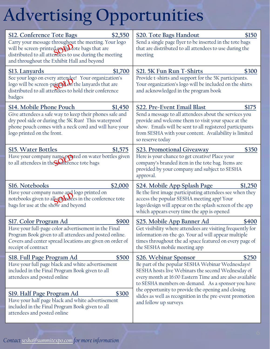# **Advertising Opportunities**

| <b>S12. Conference Tote Bags</b><br>\$2,550<br>Carry your message throughout the meeting. Your logo<br>will be screen-printed on the lote bags that are<br>distributed to all attendees to use during the meeting<br>and throughout the Exhibit Hall and beyond | <u>S20. Tote Bags Handout</u><br>\$150<br>Send a single page flyer to be inserted in the tote bags<br>that are distributed to all attendees to use during the<br>meeting                                                                                                                      |  |
|-----------------------------------------------------------------------------------------------------------------------------------------------------------------------------------------------------------------------------------------------------------------|-----------------------------------------------------------------------------------------------------------------------------------------------------------------------------------------------------------------------------------------------------------------------------------------------|--|
| <b>S13. Lanyards</b><br>\$1,700<br>See your logo on every attendee! Your organization's<br>logo will be screen-print of the lanyards that are<br>distributed to all attendees to hold their conference<br>badges                                                | S21. 5K Fun Run T-Shirts<br>\$300<br>Provide t-shirts and support for the 5K participants.<br>Your organization's logo will be included on the shirts<br>and acknowledged in the program book                                                                                                 |  |
| S14. Mobile Phone Pouch<br>\$1,450<br>Give attendees a safe way to keep their phones safe and<br>dry pool side or during the 5K Run! This waterproof<br>phone pouch comes with a neck cord and will have your<br>logo printed on the front.                     | S22. Pre-Event Email Blast<br>\$175<br>Send a message to all attendees about the services you<br>provide and welcome them to visit your space at the<br>show. Emails will be sent to all registered participants<br>from SESHA with your content. Availability is limited<br>so reserve today |  |
| <b>S15. Water Bottles</b><br>\$1,575<br>Have your company name printed on water bottles given<br>to all attendees in the Sulference tote bags                                                                                                                   | \$350<br><b>S23. Promotional Giveaway</b><br>Here is your chance to get creative! Place your<br>company's branded item in the tote bag. Items are<br>provided by your company and subject to SESHA<br>approval.                                                                               |  |
| S16. Notebooks<br>\$2,000<br>Have your company name and logo printed on<br>notebooks given to all attendees in the conference tote<br>bags for use at the show and beyond                                                                                       | <u>S24. Mobile App Splash Page</u><br>\$1,250<br>Be the first image participating attendees see when they<br>access the popular SESHA meeting app! Your<br>logo/design will appear on the splash screen of the app<br>which appears every time the app is opened                              |  |
| <u>S17. Color Program Ad</u><br>\$900<br>Have your full-page color advertisement in the Final<br>Program Book given to all attendees and posted online.<br>Covers and center spread locations are given on order of<br>receipt of contract                      | S25. Mobile App Banner Ad<br>\$400<br>Get visibility where attendees are visiting frequently for<br>information on-the-go. Your ad will appear multiple<br>times throughout the ad space featured on every page of<br>the SESHA mobile meeting app                                            |  |
| <b>S18. Full Page Program Ad</b><br>\$500<br>Have your full page black and white advertisement<br>included in the Final Program Book given to all<br>attendees and posted online                                                                                | <b>S26. Webinar Sponsor</b><br>\$250<br>Be part of the popular SESHA Webinar Wednesdays!<br>SESHA hosts live Webinars the second Wednesday of<br>every month at 16:00 Eastern Time and are also available<br>to SESHA members on-demand. As a sponsor you have                                |  |
| S19. Half Page Program Ad<br>\$300<br>Have your half page black and white advertisement<br>included in the Final Program Book given to all<br>attendees and posted online                                                                                       | the opportunity to provide the opening and closing<br>slides as well as recognition in the pre-event promotion<br>and follow up surveys                                                                                                                                                       |  |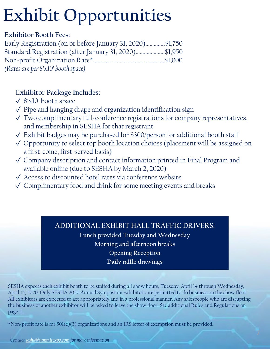# **Exhibit Opportunities**

### **Exhibitor Booth Fees:**

| Early Registration (on or before January 31, 2020)\$1,750 |  |
|-----------------------------------------------------------|--|
| Standard Registration (after January 31, 2020)\$1,950     |  |
|                                                           |  |
| (Rates are per 8'x10' booth space)                        |  |

### **Exhibitor Package Includes:**

- ✓ 8'x10' booth space
- $\sqrt{\ }$  Pipe and hanging drape and organization identification sign
- ✓ Two complimentary full-conference registrations for company representatives, and membership in SESHA for that registrant
- ✓ Exhibit badges may be purchased for \$300/person for additional booth staff
- ✓ Opportunity to select top booth location choices (placement will be assigned on a first-come, first-served basis)
- ✓ Company description and contact information printed in Final Program and available online (due to SESHA by March 2, 2020)
- ✓ Access to discounted hotel rates via conference website
- ✓ Complimentary food and drink for some meeting events and breaks

### **ADDITIONAL EXHIBIT HALL TRAFFIC DRIVERS:**

**Lunch provided Tuesday and Wednesday Morning and afternoon breaks Opening Reception Daily raffle drawings**

SESHA expects each exhibit booth to be staffed during all show hours, Tuesday, April 14 through Wednesday, April 15, 2020. Only SESHA 2020 Annual Symposium exhibitors are permitted to do business on the show floor. All exhibitors are expected to act appropriately and in a professional manner. Any salespeople who are disrupting the business of another exhibitor will be asked to leave the show floor. See additional Rules and Regulations on page 11.

\*Non-profit rate is for 501(c)(3) organizations and an IRS letter of exemption must be provided.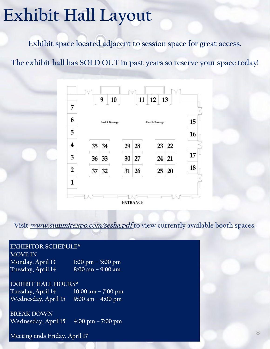### **Exhibit Hall Layout**

**Exhibit space located adjacent to session space for great access.**

**The exhibit hall has SOLD OUT in past years so reserve your space today!** 



**Visit [www.summitexpo.com/sesha.pdf](http://www.summitexpo.com/sesha.pdf) to view currently available booth spaces.**

#### **EXHIBITOR SCHEDULE\***

**MOVE IN Monday. April 13 1:00 pm – 5:00 pm Tuesday, April 14 8:00 am – 9:00 am** 

**EXHIBIT HALL HOURS\* Tuesday, April 14 10:00 am – 7:00 pm Wednesday, April 15 9:00 am – 4:00 pm** 

**BREAK DOWN Wednesday, April 15 4:00 pm – 7:00 pm** 

**Meeting ends Friday, April 17**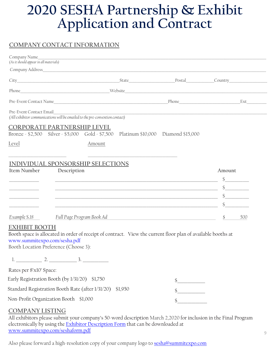### **2020 SESHA Partnership & Exhibit Application and Contract**

### **COMPANY CONTACT INFORMATION**

| Company Name<br>(As it should appear in all materials) |                                                                                           |                                                                                                                      |                                                                                                                       |                                                                                                                                                                                                                                                                                                                                                                                                                                                                                         |
|--------------------------------------------------------|-------------------------------------------------------------------------------------------|----------------------------------------------------------------------------------------------------------------------|-----------------------------------------------------------------------------------------------------------------------|-----------------------------------------------------------------------------------------------------------------------------------------------------------------------------------------------------------------------------------------------------------------------------------------------------------------------------------------------------------------------------------------------------------------------------------------------------------------------------------------|
|                                                        |                                                                                           |                                                                                                                      |                                                                                                                       |                                                                                                                                                                                                                                                                                                                                                                                                                                                                                         |
|                                                        |                                                                                           |                                                                                                                      |                                                                                                                       |                                                                                                                                                                                                                                                                                                                                                                                                                                                                                         |
|                                                        |                                                                                           |                                                                                                                      |                                                                                                                       |                                                                                                                                                                                                                                                                                                                                                                                                                                                                                         |
| Pre-Event Contact Name                                 |                                                                                           | <u> 1989 - Johann Stein, marwolaethau a bhann an t-Amhair ann an t-Amhair an t-Amhair an t-Amhair an t-Amhair an</u> | Phone                                                                                                                 | Ext                                                                                                                                                                                                                                                                                                                                                                                                                                                                                     |
| Pre-Event Contact Email                                | (All exhibitor communications will be emailed to the pre-convention contact)              |                                                                                                                      |                                                                                                                       |                                                                                                                                                                                                                                                                                                                                                                                                                                                                                         |
|                                                        | <b>CORPORATE PARTNERSHIP LEVEL</b><br>Bronze - $$2,500$ Silver - $$5,000$ Gold - $$7,500$ |                                                                                                                      | Platinum \$10,000 Diamond \$15,000                                                                                    |                                                                                                                                                                                                                                                                                                                                                                                                                                                                                         |
| Level                                                  |                                                                                           | Amount                                                                                                               |                                                                                                                       |                                                                                                                                                                                                                                                                                                                                                                                                                                                                                         |
| Item Number                                            | <b>INDIVIDUAL SPONSORSHIP SELECTIONS</b><br>Description                                   |                                                                                                                      |                                                                                                                       | Amount                                                                                                                                                                                                                                                                                                                                                                                                                                                                                  |
|                                                        |                                                                                           |                                                                                                                      | <u> 1989 - Johann Stoff, amerikansk politiker (* 1908)</u>                                                            |                                                                                                                                                                                                                                                                                                                                                                                                                                                                                         |
|                                                        |                                                                                           |                                                                                                                      | <u> 1989 - Johann Stoff, deutscher Stoff, der Stoff, der Stoff, der Stoff, der Stoff, der Stoff, der Stoff, der S</u> | $\begin{array}{c} \n\text{\bf 5} \quad \text{\bf \textcolor{red}{\bf 6} \quad \textbf{1} \quad \textbf{2} \quad \textbf{3} \quad \textbf{4} \quad \textbf{5} \quad \textbf{5} \quad \textbf{6} \quad \textbf{6} \quad \textbf{7} \quad \textbf{8} \quad \textbf{8} \quad \textbf{1} \quad \textbf{1} \quad \textbf{1} \quad \textbf{1} \quad \textbf{1} \quad \textbf{1} \quad \textbf{1} \quad \textbf{1} \quad \textbf{1} \quad \textbf{1} \quad \textbf{1} \quad \textbf{1} \quad \$ |
|                                                        |                                                                                           |                                                                                                                      | <u> 1989 - Johann Barbara, martxa alemaniar argumento este alemaniar alemaniar alemaniar alemaniar alemaniar a</u>    | $\mathcal{S}$                                                                                                                                                                                                                                                                                                                                                                                                                                                                           |
| Example S.18                                           | Full Page Program Book Ad                                                                 |                                                                                                                      | the control of the control of the control of the control of the control of the control of                             | \$<br>500                                                                                                                                                                                                                                                                                                                                                                                                                                                                               |
| <b>EXHIBIT BOOTH</b><br>www.summitexpo.com/sesha.pdf   | Booth Location Preference (Choose 3):                                                     |                                                                                                                      | Booth space is allocated in order of receipt of contract. View the current floor plan of available booths at          |                                                                                                                                                                                                                                                                                                                                                                                                                                                                                         |
|                                                        |                                                                                           |                                                                                                                      |                                                                                                                       |                                                                                                                                                                                                                                                                                                                                                                                                                                                                                         |
| Rates per 8'x10' Space:                                |                                                                                           |                                                                                                                      |                                                                                                                       |                                                                                                                                                                                                                                                                                                                                                                                                                                                                                         |
|                                                        | Early Registration Booth (by 1/31/20) \$1,750                                             |                                                                                                                      | $\mathcal{S}$                                                                                                         |                                                                                                                                                                                                                                                                                                                                                                                                                                                                                         |
|                                                        | Standard Registration Booth Rate (after 1/31/20) \$1,950                                  |                                                                                                                      | \$                                                                                                                    |                                                                                                                                                                                                                                                                                                                                                                                                                                                                                         |
|                                                        | Non-Profit Organization Booth \$1,000                                                     |                                                                                                                      | \$                                                                                                                    |                                                                                                                                                                                                                                                                                                                                                                                                                                                                                         |
| COMPANY LISTING                                        |                                                                                           |                                                                                                                      |                                                                                                                       |                                                                                                                                                                                                                                                                                                                                                                                                                                                                                         |

#### **COMPANY LISTING**

All exhibitors please submit your company's 50-word description March 2,2020 for inclusion in the Final Program electronically by using the **Exhibitor Description Form** that can be downloaded at [www.summitexpo.com/seshaform.pdf](http://www.summitexpo.com/seshaform.pdf)

Also please forward a high-resolution copy of your company logo to [sesha@summitexpo.com](mailto:sesha@summitexpo.com)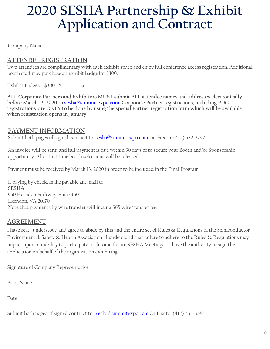### **2020 SESHA Partnership & Exhibit Application and Contract**

Company Name

### **ATTENDEE REGISTRATION**

Two attendees are complimentary with each exhibit space and enjoy full conference access registration. Additional booth staff may purchase an exhibit badge for \$300.

Exhibit Badges  $$300 \text{ X }$  = \$

**ALL Corporate Partners and Exhibitors MUST submit ALL attendee names and addresses electronically before March 13, 2020 to [sesha@summitexpo.com.](mailto:sesha@summitexpo.com) Corporate Partner registrations, including PDC registrations, are ONLY to be done by using the special Partner registration form which will be available when registration opens in January.** 

#### **PAYMENT INFORMATION**

Submit both pages of signed contract to: sesha@summitexpo.com or Fax to: (412) 532-3747

An invoice will be sent, and full payment is due within 30 days of to secure your Booth and/or Sponsorship opportunity. After that time booth selections will be released.

Payment must be received by March 13, 2020 in order to be included in the Final Program.

If paying by check, make payable and mail to: **SESHA** 950 Herndon Parkway, Suite 450 Herndon, VA 20170 Note that payments by wire transfer will incur a \$65 wire transfer fee.

#### **AGREEMENT**

Date

I have read, understood and agree to abide by this and the entire set of Rules & Regulations of the Semiconductor Environmental, Safety & Health Association. I understand that failure to adhere to the Rules & Regulations may impact upon our ability to participate in this and future SESHA Meetings. I have the authority to sign this application on behalf of the organization exhibiting.

| Signature of Company Representative_ |  |  |
|--------------------------------------|--|--|
| Print Name                           |  |  |
|                                      |  |  |

Submit both pages of signed contract to: sesha@summitexpo.com Or Fax to: (412) 532-3747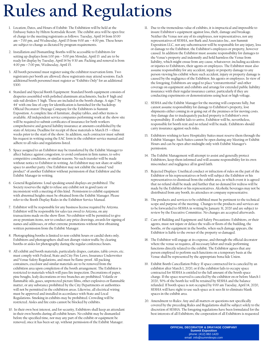## **Rules and Regulations**

- 1. Location, Dates, and Hours of Exhibit: The Exhibition will be held at the Embassy Suites by Hilton Scottsdale Resort. The exhibit area will be open free of charge to the meeting registrants as follows: Tuesday, April 14 from 10:00 am – 7:00 pm, and Wednesday, April 15 from 9:00 am – 4:00 pm. These hours are subject to change as dictated by program requirements.
- 2. Installation and Dismantling: Booths will be accessible to Exhibitors for setting up displays from 1:00 pm – 5:00 pm Monday, April 13 and are to be ready for display by Tuesday, April 14 by 9:30 am. Packing and removal is from 4:00 pm – 7:00 pm, Wednesday, April 15.
- 3. All booth personnel must register using the exhibitor reservation form. Two registrants per booth are allowed; these registrants may attend sessions. Each additional booth personnel must register as "Exhibits Only" for an additional \$300.
- 4. Standard and Special Booth Equipment: Standard booth equipment consists of draperies assembled with polished aluminum attachments, backs 8' high and side rail dividers 3' high. These are included in the booth charge. A sign 7" by 44" with one line of copy for identification is furnished for the backdrop. Official Decorator/ Drayage Company for the Exhibitors is Summit Exposition. A complete line of furniture, display tables, and other items is available. All independent service companies performing work at the show site will be required to submit certificates of insurance for both workers comprehensive and general liability insurance at amounts established by the state of Arizona. Deadline for receipt of these materials is March 15 —three weeks prior to the start of the show. In addition, such contractor must submit his request in writing using the EAC form in the exhibitor service manual and adhere to all rules and regulations listed.
- 5. Space assigned to an Exhibitor may be transferred by the Exhibit Manager to affect balance against congestion, to avoid confusion in firm names, to solve competitive conditions, or similar reasons. No such transfer will be made without notice to Exhibitor in writing. An Exhibitor may not share or sublet space to another party. One Exhibitor may not exhibit the named "end product" of another Exhibitor without permission of that Exhibitor and the Exhibit Manager in writing.
- 6. General Regulations: Loud speaking sound displays are prohibited. The Society reserves the right to refuse any exhibit not in good taste or inconsistent with a meeting of this kind. Permission to exhibit equipment with abnormal heights must be obtained from the Exhibit Manager. Please refer to the Booth Display Rules in the Exhibitor Service Manual.
- 7. Exhibitor will be responsible for any business license required by Arizona. Exhibitor will be responsible for sales tax owed to Arizona, on any transactions made on the show floor. No exhibitor will be permitted to give away premium items, nor to conduct any prize drawings, awards for signing of names and addresses, or other extreme promotions without first obtaining written permission from the Exhibit Manager.
- 8. Photographing booths is limited to non-exhibit hours or candid shots only. Exhibitors and photographers shall not disrupt visitor traffic by clearing booths or aisles for photography during the regular conference hours.
- 9. All exhibit and booth materials, particularly drapes, curtains, table covers, etc. must comply with Federal, State and City Fire Laws, Insurance Underwriter and Venue Safety Regulations, and must be flame-proof. All packing containers, excelsior and similar materials are to be removed from the exhibition area upon completion of the booth arrangement. The Exhibitor is restricted to materials which will pass fire inspection. Decorations of paper, pine boughs, leafy decorations or tree branches are prohibited. Volatile or flammable oils, gases, unprotected picture films, other explosives or flammable matter, or any substance prohibited by the City Departments or authorities will not be permitted in the exhibition areas. Likewise, all electrical wiring must be approved and installed in accordance with State and Local Regulations. Smoking in exhibits may be prohibited. Crowding will be restricted. Aisles and fire exits cannot be blocked by exhibits.
- 10. In their own best interest, and for security, Exhibitors shall keep an attendant in their own booths during all exhibit hours. No exhibit may be dismantled before the specified time, nor may any part of the exhibit or equipment be removed, once it has been set up, without permission of the Exhibit Manager.
- 11. Due to the tremendous value of exhibits, it is impractical and impossible to insure Exhibitor's equipment against loss, theft, damage and breakage. Neither the Venue nor any of its employees, nor representatives, nor any representatives of SESHA, nor Burk and Associates Inc., nor Summit Exposition LLC, nor any subcontractor will be responsible for any injury, loss or damage to the Exhibitor, the Exhibitor's employees or property, however caused. In addition the Exhibitor must assume responsibility for damages to the Venue's property and indemnify and hold harmless the Venue from liability, which might ensue from any cause, whatsoever, including accidents or injuries to Exhibitors, their agents or employees. The Exhibitor must also assume responsibility for any accident, injury or property damage to any person viewing his exhibit where such accident, injury or property damage is caused by the negligence of the Exhibitor, his agents or employees. In view of the foregoing, Exhibitors are urged to place "extraterritorial" and other coverage on equipment and exhibits and arrange for extended public liability insurance with their regular insurance carrier, particularly if they are conducting experiments or demonstrations using heat or high voltage.
- 12. SESHA and the Exhibit Manager for the meeting will cooperate fully, but cannot assume responsibility for damage to Exhibitor's property, lost shipments either coming in or going out of the premises or for moving costs. Any damage due to inadequately packed property is Exhibitor's own responsibility. If exhibit fails to arrive, Exhibitor will be, nevertheless, responsible for booth rent and no refund will be made. Exhibitors should carry insurance against such risks.
- 13. Exhibitors wishing to have Hospitality Suites must reserve them through the Exhibit Manager. Such Suites cannot be open during any Meeting or Exhibit Hours and can be open after midnight only with Exhibit Manager's permission.
- 14. The Exhibit Management will attempt to assist and generally protect Exhibitors, keep them informed and will assume responsibility for its own misconduct and negligence all in good faith.
- 15. Rejected Displays: Unethical conduct or infraction of rules on the part of the Exhibitor or his representatives or both will subject the Exhibitor or his representatives to dismissal from the exhibit area, in which event it is agreed that no refund shall be made and further that no demand for redress will be made by the Exhibitor or his representatives. Alcoholic beverages may not be distributed from any booth, its attendees or company representative.
- 16. The products and services to be exhibited must be pertinent to the technical scope and purpose of the meeting. Changes to the products and services are to be forwarded to SESHA in writing by January 31, 2020 and are subject to review by the Executive Committee. No changes are accepted afterwards.
- 17. Care of Building and Equipment and Safety Precautions: Exhibitors, or their agents, must not injure or deface the walls or floors of the building, the booths, or the equipment in the booths, when such damage appears, the Exhibitor is liable to the owner of the property so damaged.
- 18. The Exhibitor will engage at its expense, and through the official decorator where the venue so requires, all necessary labor and trade performing functions directly related to the exhibit. The Exhibitor agrees that any person employed to perform such functions on a temporary basis at the Venue shall be represented by the appropriate bona fide Union.
- 19. Exhibit Booth Cancellation Policy: If space contracted for is canceled by an exhibitor after March 1, 2020, or if the exhibitor fails to occupy space contracted for SESHA is entitled to the full amount of the booth space charge. If the space reserved is canceled by the exhibitor on or before March 1 2020, 50% of the booth fee will be retained by SESHA and the balance refunded. If booth space is not occupied by 9:00 am Tuesday, April 14, 2020, SESHA will have right to use such space as it sees fit to eliminate blank spaces in the exhibit area.
- 20. Amendment to Rules: Any and all matters or questions not specifically covered by the preceding Rules and Regulations shall be subject solely to the discretion of SESHA. The foregoing regulations have been formulated for the best interests of all Exhibitors; the cooperation of all Exhibitors is requested